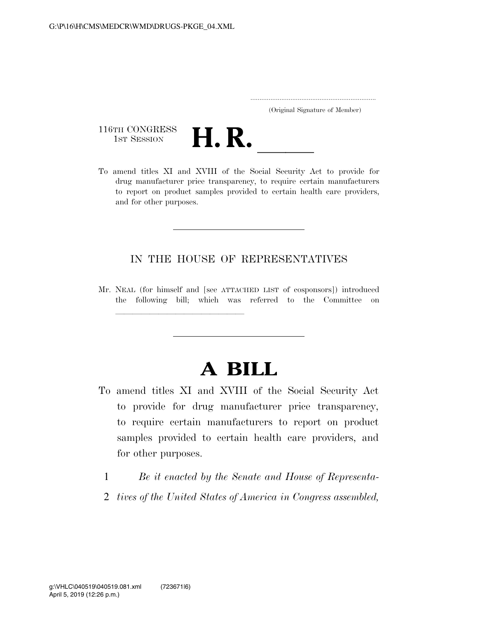|  | (Original Signature of Member) |  |
|--|--------------------------------|--|

116TH CONGRESS<br>1st Session



116TH CONGRESS<br>1st SESSION **H. R.** <u>Independence of the Social Security Act to provide for</u> drug manufacturer price transparency, to require certain manufacturers to report on product samples provided to certain health care providers, and for other purposes.

### IN THE HOUSE OF REPRESENTATIVES

Mr. NEAL (for himself and [see ATTACHED LIST of cosponsors]) introduced the following bill; which was referred to the Committee on

llland and a state of the state of the state of the state of the state of the state of the state of the state o

# **A BILL**

- To amend titles XI and XVIII of the Social Security Act to provide for drug manufacturer price transparency, to require certain manufacturers to report on product samples provided to certain health care providers, and for other purposes.
	- 1 *Be it enacted by the Senate and House of Representa-*
	- 2 *tives of the United States of America in Congress assembled,*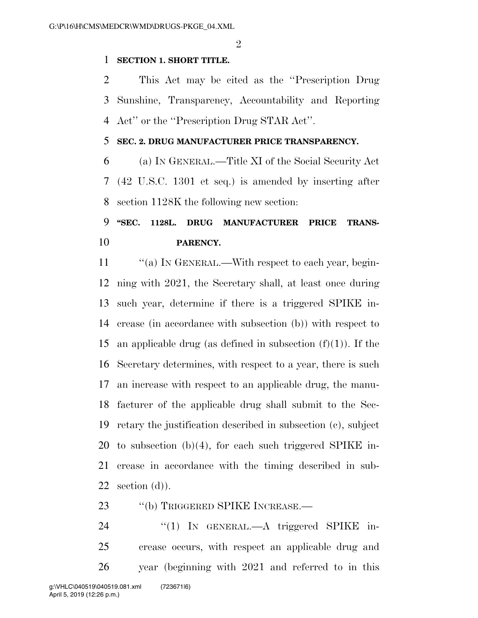$\mathfrak{D}$ 

#### **SECTION 1. SHORT TITLE.**

 This Act may be cited as the ''Prescription Drug Sunshine, Transparency, Accountability and Reporting Act'' or the ''Prescription Drug STAR Act''.

### **SEC. 2. DRUG MANUFACTURER PRICE TRANSPARENCY.**

 (a) IN GENERAL.—Title XI of the Social Security Act (42 U.S.C. 1301 et seq.) is amended by inserting after section 1128K the following new section:

### **''SEC. 1128L. DRUG MANUFACTURER PRICE TRANS-PARENCY.**

11 "(a) IN GENERAL.—With respect to each year, begin- ning with 2021, the Secretary shall, at least once during such year, determine if there is a triggered SPIKE in- crease (in accordance with subsection (b)) with respect to 15 an applicable drug (as defined in subsection  $(f)(1)$ ). If the Secretary determines, with respect to a year, there is such an increase with respect to an applicable drug, the manu- facturer of the applicable drug shall submit to the Sec- retary the justification described in subsection (c), subject to subsection (b)(4), for each such triggered SPIKE in- crease in accordance with the timing described in sub-22 section  $(d)$ ).

23 "(b) TRIGGERED SPIKE INCREASE.—

24 "(1) IN GENERAL.—A triggered SPIKE in- crease occurs, with respect an applicable drug and year (beginning with 2021 and referred to in this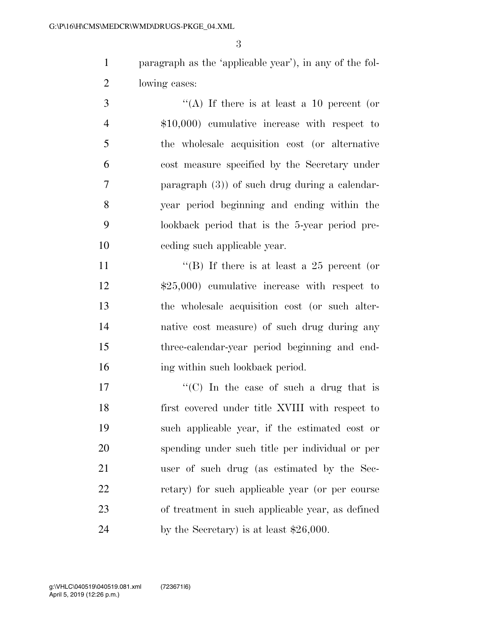paragraph as the 'applicable year'), in any of the fol-lowing cases:

 ''(A) If there is at least a 10 percent (or \$10,000) cumulative increase with respect to the wholesale acquisition cost (or alternative cost measure specified by the Secretary under paragraph (3)) of such drug during a calendar- year period beginning and ending within the lookback period that is the 5-year period pre-ceding such applicable year.

11 ''(B) If there is at least a 25 percent (or \$25,000) cumulative increase with respect to the wholesale acquisition cost (or such alter- native cost measure) of such drug during any three-calendar-year period beginning and end-16 ing within such lookback period.

 $\langle \text{C}(\text{C}) \rangle$  In the case of such a drug that is first covered under title XVIII with respect to such applicable year, if the estimated cost or spending under such title per individual or per user of such drug (as estimated by the Sec- retary) for such applicable year (or per course of treatment in such applicable year, as defined 24 by the Secretary) is at least \$26,000.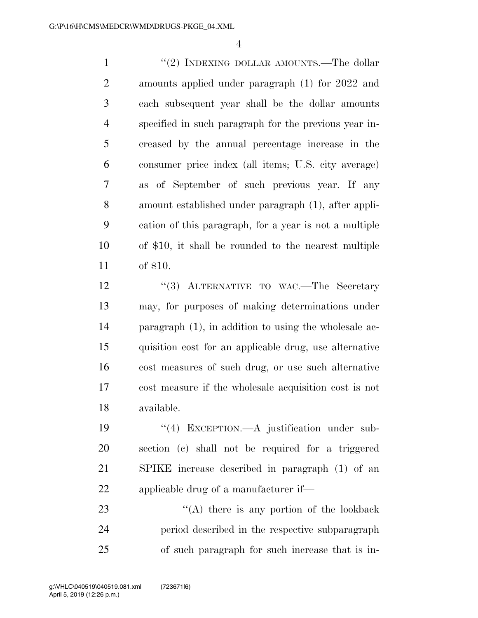1 ''(2) INDEXING DOLLAR AMOUNTS.—The dollar amounts applied under paragraph (1) for 2022 and each subsequent year shall be the dollar amounts specified in such paragraph for the previous year in- creased by the annual percentage increase in the consumer price index (all items; U.S. city average) as of September of such previous year. If any amount established under paragraph (1), after appli- cation of this paragraph, for a year is not a multiple of \$10, it shall be rounded to the nearest multiple of \$10.

12 "(3) ALTERNATIVE TO WAC.—The Secretary may, for purposes of making determinations under paragraph (1), in addition to using the wholesale ac- quisition cost for an applicable drug, use alternative cost measures of such drug, or use such alternative cost measure if the wholesale acquisition cost is not available.

 ''(4) EXCEPTION.—A justification under sub- section (c) shall not be required for a triggered SPIKE increase described in paragraph (1) of an applicable drug of a manufacturer if—

23 ''(A) there is any portion of the lookback period described in the respective subparagraph of such paragraph for such increase that is in-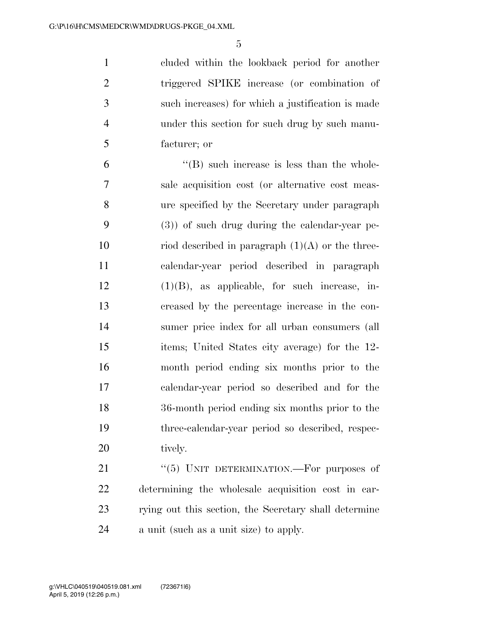cluded within the lookback period for another triggered SPIKE increase (or combination of such increases) for which a justification is made under this section for such drug by such manu-facturer; or

 $^{\prime\prime}$ (B) such increase is less than the whole- sale acquisition cost (or alternative cost meas- ure specified by the Secretary under paragraph (3)) of such drug during the calendar-year pe-10 riod described in paragraph  $(1)(A)$  or the three- calendar-year period described in paragraph (1)(B), as applicable, for such increase, in- creased by the percentage increase in the con- sumer price index for all urban consumers (all items; United States city average) for the 12- month period ending six months prior to the calendar-year period so described and for the 36-month period ending six months prior to the three-calendar-year period so described, respec-20 tively.

21 "(5) UNIT DETERMINATION.—For purposes of determining the wholesale acquisition cost in car- rying out this section, the Secretary shall determine a unit (such as a unit size) to apply.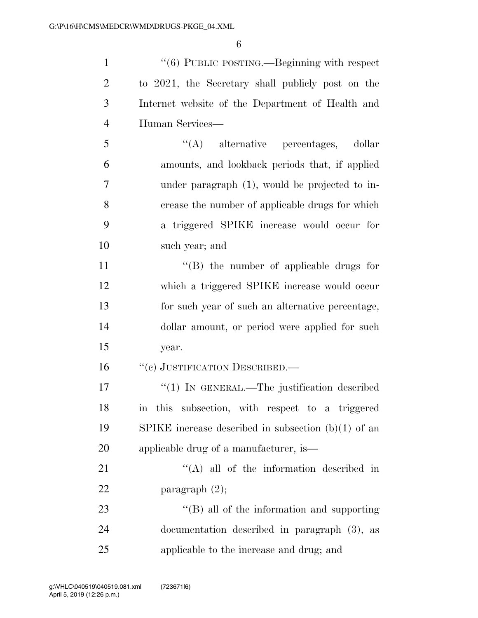1 ''(6) PUBLIC POSTING.—Beginning with respect to 2021, the Secretary shall publicly post on the Internet website of the Department of Health and Human Services— ''(A) alternative percentages, dollar amounts, and lookback periods that, if applied under paragraph (1), would be projected to in- crease the number of applicable drugs for which a triggered SPIKE increase would occur for such year; and

 $\langle$  (B) the number of applicable drugs for which a triggered SPIKE increase would occur for such year of such an alternative percentage, dollar amount, or period were applied for such year.

16 "(c) JUSTIFICATION DESCRIBED.—

17 <sup>"</sup>(1) IN GENERAL.—The justification described in this subsection, with respect to a triggered SPIKE increase described in subsection (b)(1) of an applicable drug of a manufacturer, is—

21 ''(A) all of the information described in 22 paragraph  $(2)$ ;

23 ''(B) all of the information and supporting documentation described in paragraph (3), as applicable to the increase and drug; and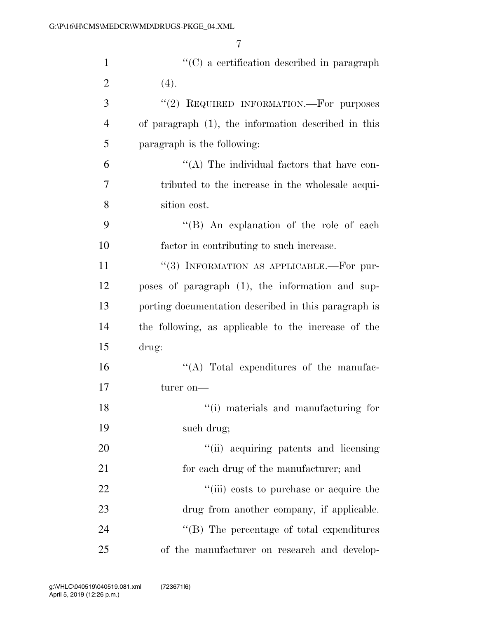| $\mathbf{1}$   | "(C) a certification described in paragraph          |
|----------------|------------------------------------------------------|
| $\overline{2}$ | (4).                                                 |
| 3              | "(2) REQUIRED INFORMATION.—For purposes              |
| $\overline{4}$ | of paragraph (1), the information described in this  |
| 5              | paragraph is the following:                          |
| 6              | "(A) The individual factors that have con-           |
| $\overline{7}$ | tributed to the increase in the wholesale acqui-     |
| 8              | sition cost.                                         |
| 9              | "(B) An explanation of the role of each              |
| 10             | factor in contributing to such increase.             |
| 11             | "(3) INFORMATION AS APPLICABLE.—For pur-             |
| 12             | poses of paragraph (1), the information and sup-     |
| 13             | porting documentation described in this paragraph is |
| 14             | the following, as applicable to the increase of the  |
| 15             | drug:                                                |
| 16             | "(A) Total expenditures of the manufac-              |
| 17             | turer on-                                            |
| 18             | "(i) materials and manufacturing for                 |
| 19             | such drug;                                           |
| 20             | "(ii) acquiring patents and licensing                |
| 21             | for each drug of the manufacturer; and               |
| 22             | "(iii) costs to purchase or acquire the              |
| 23             | drug from another company, if applicable.            |
| 24             | $\lq\lq (B)$ The percentage of total expenditures    |
| 25             | of the manufacturer on research and develop-         |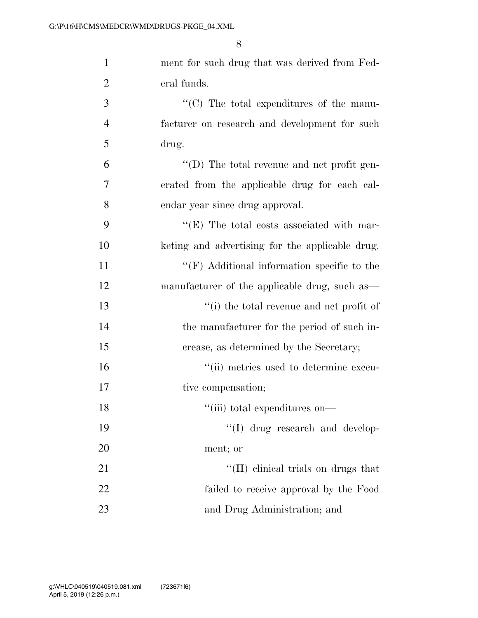| $\mathbf{1}$   | ment for such drug that was derived from Fed-      |
|----------------|----------------------------------------------------|
| $\overline{2}$ | eral funds.                                        |
| 3              | $\lq\lq$ (C) The total expenditures of the manu-   |
| $\overline{4}$ | facturer on research and development for such      |
| 5              | drug.                                              |
| 6              | $\lq\lq$ (D) The total revenue and net profit gen- |
| 7              | erated from the applicable drug for each cal-      |
| 8              | endar year since drug approval.                    |
| 9              | $\lq\lq$ (E) The total costs associated with mar-  |
| 10             | keting and advertising for the applicable drug.    |
| 11             | $\lq\lq(F)$ Additional information specific to the |
| 12             | manufacturer of the applicable drug, such as—      |
| 13             | "(i) the total revenue and net profit of           |
| 14             | the manufacturer for the period of such in-        |
| 15             | crease, as determined by the Secretary;            |
| 16             | "(ii) metrics used to determine execu-             |
| 17             | tive compensation;                                 |
| 18             | "(iii) total expenditures on—                      |
| 19             | "(I) drug research and develop-                    |
| 20             | ment; or                                           |
| 21             | "(II) clinical trials on drugs that                |
| 22             | failed to receive approval by the Food             |
| 23             | and Drug Administration; and                       |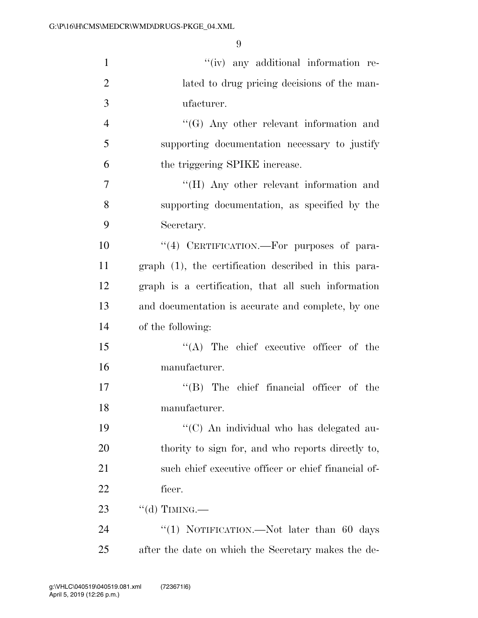| $\mathbf{1}$   | "(iv) any additional information re-                 |
|----------------|------------------------------------------------------|
| $\overline{2}$ | lated to drug pricing decisions of the man-          |
| 3              | ufacturer.                                           |
| $\overline{4}$ | $\lq\lq (G)$ Any other relevant information and      |
| 5              | supporting documentation necessary to justify        |
| 6              | the triggering SPIKE increase.                       |
| 7              | "(H) Any other relevant information and              |
| 8              | supporting documentation, as specified by the        |
| 9              | Secretary.                                           |
| 10             | "(4) CERTIFICATION.—For purposes of para-            |
| 11             | graph (1), the certification described in this para- |
| 12             | graph is a certification, that all such information  |
| 13             | and documentation is accurate and complete, by one   |
| 14             | of the following:                                    |
| 15             | $\lq\lq$ . The chief executive officer of the        |
| 16             | manufacturer.                                        |
| 17             | $\lq\lq$ (B) The chief financial officer of the      |
| 18             | manufacturer.                                        |
| 19             | "(C) An individual who has delegated au-             |
| 20             | thority to sign for, and who reports directly to,    |
| 21             | such chief executive officer or chief financial of-  |
| 22             | ficer.                                               |
| 23             | $``$ (d) TIMING.—                                    |
| 24             | "(1) NOTIFICATION.—Not later than 60 days            |
| 25             | after the date on which the Secretary makes the de-  |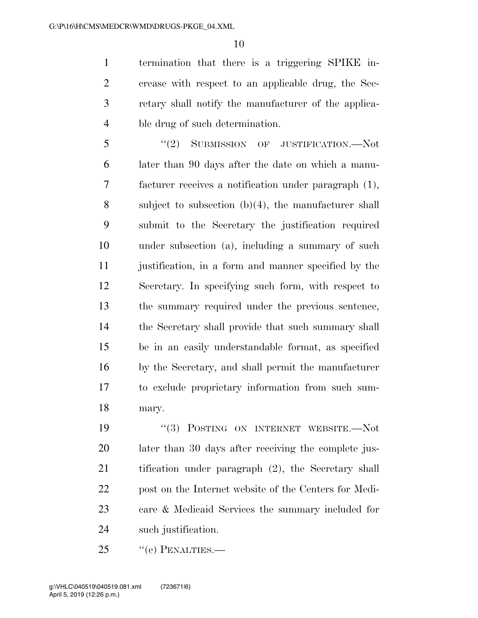termination that there is a triggering SPIKE in- crease with respect to an applicable drug, the Sec- retary shall notify the manufacturer of the applica-ble drug of such determination.

5 "(2) SUBMISSION OF JUSTIFICATION.—Not later than 90 days after the date on which a manu- facturer receives a notification under paragraph (1), subject to subsection (b)(4), the manufacturer shall submit to the Secretary the justification required under subsection (a), including a summary of such justification, in a form and manner specified by the Secretary. In specifying such form, with respect to the summary required under the previous sentence, the Secretary shall provide that such summary shall be in an easily understandable format, as specified by the Secretary, and shall permit the manufacturer to exclude proprietary information from such sum-mary.

 $(3)$  POSTING ON INTERNET WEBSITE. Not later than 30 days after receiving the complete jus- tification under paragraph (2), the Secretary shall post on the Internet website of the Centers for Medi- care & Medicaid Services the summary included for such justification.

25 "(e) PENALTIES.—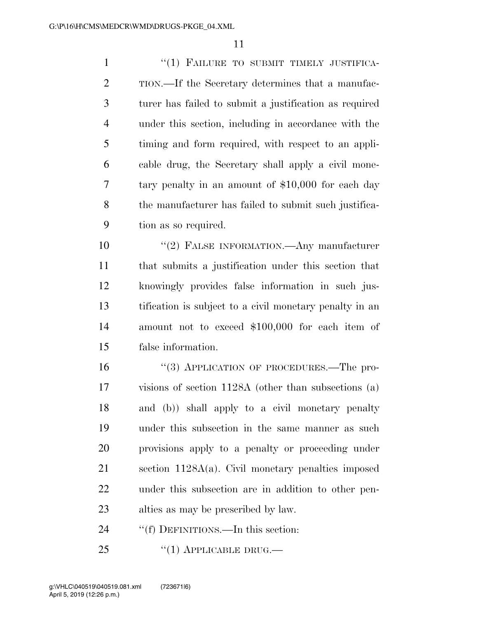1 "(1) FAILURE TO SUBMIT TIMELY JUSTIFICA- TION.—If the Secretary determines that a manufac- turer has failed to submit a justification as required under this section, including in accordance with the timing and form required, with respect to an appli- cable drug, the Secretary shall apply a civil mone- tary penalty in an amount of \$10,000 for each day the manufacturer has failed to submit such justifica-tion as so required.

 ''(2) FALSE INFORMATION.—Any manufacturer that submits a justification under this section that knowingly provides false information in such jus- tification is subject to a civil monetary penalty in an amount not to exceed \$100,000 for each item of false information.

16 "(3) APPLICATION OF PROCEDURES.—The pro- visions of section 1128A (other than subsections (a) and (b)) shall apply to a civil monetary penalty under this subsection in the same manner as such provisions apply to a penalty or proceeding under section 1128A(a). Civil monetary penalties imposed under this subsection are in addition to other pen-alties as may be prescribed by law.

24 ""(f) DEFINITIONS.—In this section:

25 "(1) APPLICABLE DRUG.—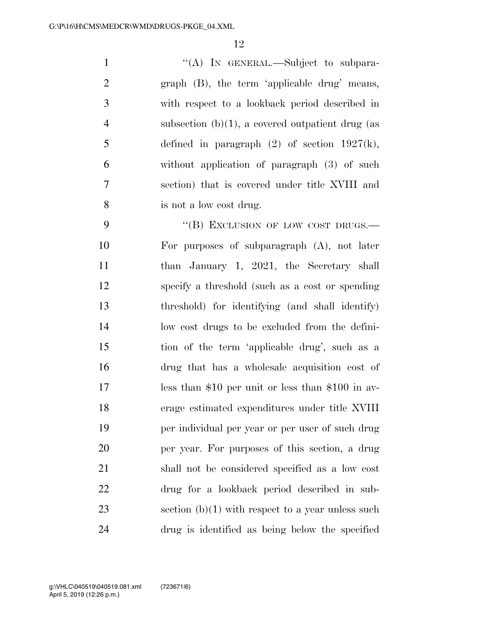1 "(A) IN GENERAL.—Subject to subpara- graph (B), the term 'applicable drug' means, with respect to a lookback period described in subsection (b)(1), a covered outpatient drug (as 5 defined in paragraph  $(2)$  of section 1927(k), without application of paragraph (3) of such section) that is covered under title XVIII and is not a low cost drug.

9 "(B) EXCLUSION OF LOW COST DRUGS.— For purposes of subparagraph (A), not later 11 than January 1, 2021, the Secretary shall specify a threshold (such as a cost or spending threshold) for identifying (and shall identify) low cost drugs to be excluded from the defini- tion of the term 'applicable drug', such as a drug that has a wholesale acquisition cost of less than \$10 per unit or less than \$100 in av- erage estimated expenditures under title XVIII per individual per year or per user of such drug per year. For purposes of this section, a drug shall not be considered specified as a low cost drug for a lookback period described in sub-23 section  $(b)(1)$  with respect to a year unless such drug is identified as being below the specified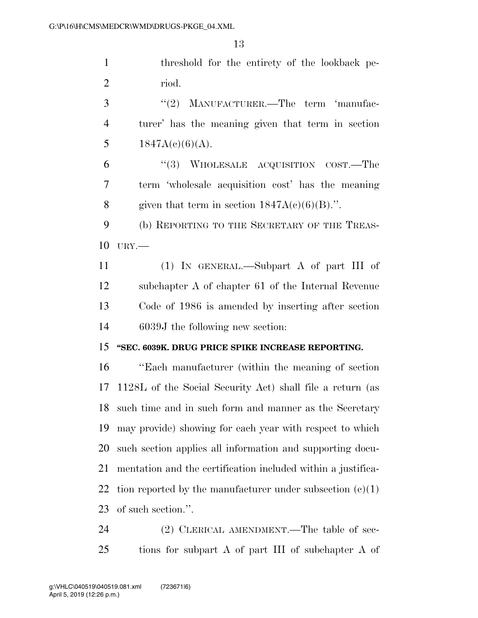threshold for the entirety of the lookback pe-riod.

3 "(2) MANUFACTURER.—The term 'manufac- turer' has the meaning given that term in section 5  $1847A(c)(6)(A)$ .

 ''(3) WHOLESALE ACQUISITION COST.—The term 'wholesale acquisition cost' has the meaning 8 given that term in section  $1847A(c)(6)(B)$ .".

 (b) REPORTING TO THE SECRETARY OF THE TREAS-URY.—

 (1) IN GENERAL.—Subpart A of part III of subchapter A of chapter 61 of the Internal Revenue Code of 1986 is amended by inserting after section 6039J the following new section:

### **''SEC. 6039K. DRUG PRICE SPIKE INCREASE REPORTING.**

 ''Each manufacturer (within the meaning of section 1128L of the Social Security Act) shall file a return (as such time and in such form and manner as the Secretary may provide) showing for each year with respect to which such section applies all information and supporting docu- mentation and the certification included within a justifica-22 tion reported by the manufacturer under subsection  $(c)(1)$ of such section.''.

24 (2) CLERICAL AMENDMENT.—The table of sec-tions for subpart A of part III of subchapter A of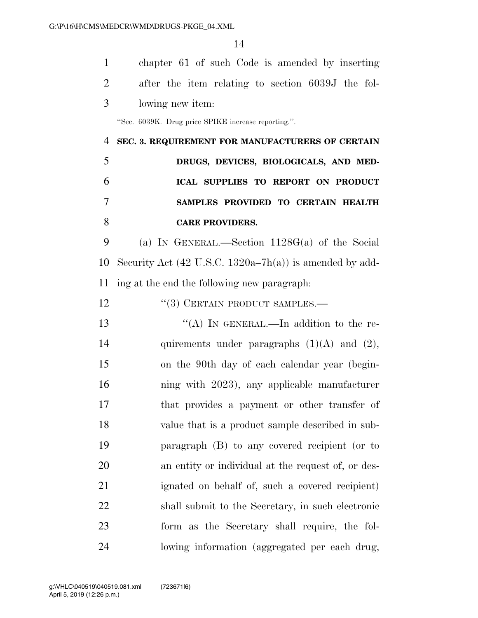| $\mathbf{1}$   | chapter 61 of such Code is amended by inserting                    |
|----------------|--------------------------------------------------------------------|
| $\overline{2}$ | after the item relating to section 6039J the fol-                  |
| 3              | lowing new item:                                                   |
|                | "Sec. 6039K. Drug price SPIKE increase reporting.".                |
| 4              | SEC. 3. REQUIREMENT FOR MANUFACTURERS OF CERTAIN                   |
| 5              | DRUGS, DEVICES, BIOLOGICALS, AND MED-                              |
| 6              | ICAL SUPPLIES TO REPORT ON PRODUCT                                 |
| 7              | SAMPLES PROVIDED TO CERTAIN HEALTH                                 |
| 8              | <b>CARE PROVIDERS.</b>                                             |
| 9              | (a) IN GENERAL.—Section $1128G(a)$ of the Social                   |
| 10             | Security Act $(42 \text{ U.S.C. } 1320a-7h(a))$ is amended by add- |
| 11             | ing at the end the following new paragraph.                        |
| 12             | "(3) CERTAIN PRODUCT SAMPLES.-                                     |
| 13             | "(A) IN GENERAL.—In addition to the re-                            |
| 14             | quirements under paragraphs $(1)(A)$ and $(2)$ ,                   |
| 15             | on the 90th day of each calendar year (begin-                      |
| 16             | ning with 2023), any applicable manufacturer                       |
| 17             | that provides a payment or other transfer of                       |
| 18             | value that is a product sample described in sub-                   |
| 19             | paragraph (B) to any covered recipient (or to                      |
| 20             | an entity or individual at the request of, or des-                 |
| 21             | ignated on behalf of, such a covered recipient)                    |
| 22             | shall submit to the Secretary, in such electronic                  |
| 23             | form as the Secretary shall require, the fol-                      |
| 24             | lowing information (aggregated per each drug,                      |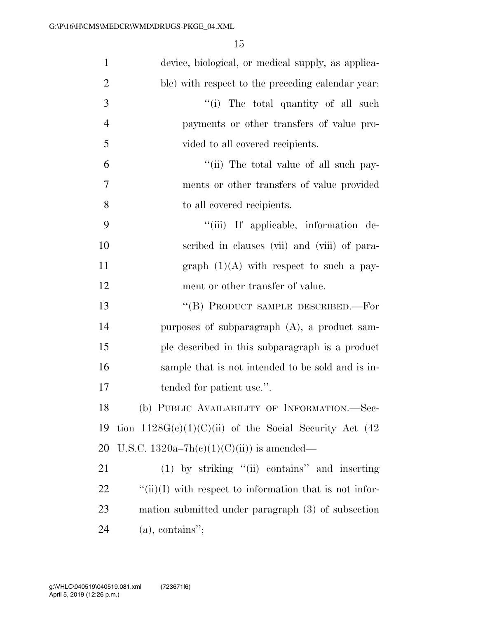| $\mathbf{1}$   | device, biological, or medical supply, as applica-              |
|----------------|-----------------------------------------------------------------|
| $\overline{2}$ | ble) with respect to the preceding calendar year:               |
| 3              | "(i) The total quantity of all such                             |
| $\overline{4}$ | payments or other transfers of value pro-                       |
| 5              | vided to all covered recipients.                                |
| 6              | "(ii) The total value of all such pay-                          |
| 7              | ments or other transfers of value provided                      |
| 8              | to all covered recipients.                                      |
| 9              | "(iii) If applicable, information de-                           |
| 10             | scribed in clauses (vii) and (viii) of para-                    |
| 11             | graph $(1)(A)$ with respect to such a pay-                      |
| 12             | ment or other transfer of value.                                |
| 13             | "(B) PRODUCT SAMPLE DESCRIBED.—For                              |
| 14             | purposes of subparagraph $(A)$ , a product sam-                 |
| 15             | ple described in this subparagraph is a product                 |
| 16             | sample that is not intended to be sold and is in-               |
| 17             | tended for patient use.".                                       |
| 18             | (b) PUBLIC AVAILABILITY OF INFORMATION.-Sec-                    |
| 19             | tion $1128G(c)(1)(C)(ii)$ of the Social Security Act (42)       |
| 20             | U.S.C. 1320a–7h(c)(1)(C)(ii)) is amended—                       |
| 21             | $(1)$ by striking "(ii) contains" and inserting                 |
| <u>22</u>      | $\lq\lq$ (ii)(I) with respect to information that is not infor- |
| 23             | mation submitted under paragraph (3) of subsection              |
| 24             | $(a)$ , contains";                                              |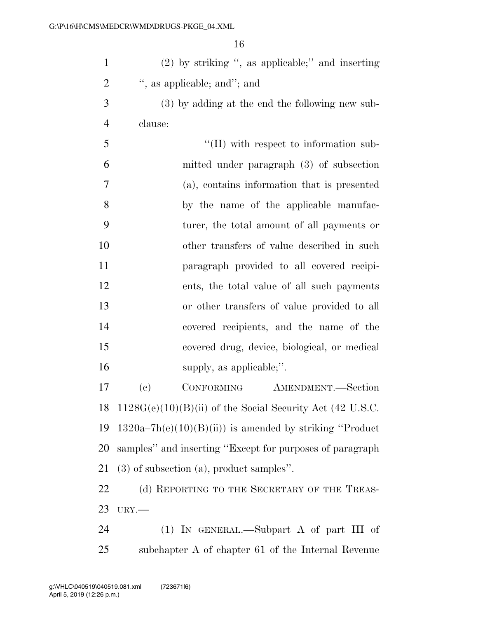| $\mathbf{1}$   | $(2)$ by striking ", as applicable;" and inserting          |
|----------------|-------------------------------------------------------------|
| $\overline{2}$ | ", as applicable; and"; and                                 |
| 3              | (3) by adding at the end the following new sub-             |
| $\overline{4}$ | clause:                                                     |
| 5              | $\lq\lq$ (II) with respect to information sub-              |
| 6              | mitted under paragraph (3) of subsection                    |
| 7              | (a), contains information that is presented                 |
| 8              | by the name of the applicable manufac-                      |
| 9              | turer, the total amount of all payments or                  |
| 10             | other transfers of value described in such                  |
| 11             | paragraph provided to all covered recipi-                   |
| 12             | ents, the total value of all such payments                  |
| 13             | or other transfers of value provided to all                 |
| 14             | covered recipients, and the name of the                     |
| 15             | covered drug, device, biological, or medical                |
| 16             | supply, as applicable;".                                    |
| 17             | (e)<br>CONFORMING AMENDMENT.-Section                        |
| 18             | $1128G(e)(10)(B)(ii)$ of the Social Security Act (42 U.S.C. |
| 19             | $1320a-7h(e)(10)(B)(ii)$ is amended by striking "Product"   |
| 20             | samples" and inserting "Except for purposes of paragraph    |
| 21             | $(3)$ of subsection $(a)$ , product samples".               |
| 22             | (d) REPORTING TO THE SECRETARY OF THE TREAS-                |
| 23             | $URY$ .                                                     |
| 24             | $(1)$ IN GENERAL.—Subpart A of part III of                  |
| 25             | subchapter A of chapter 61 of the Internal Revenue          |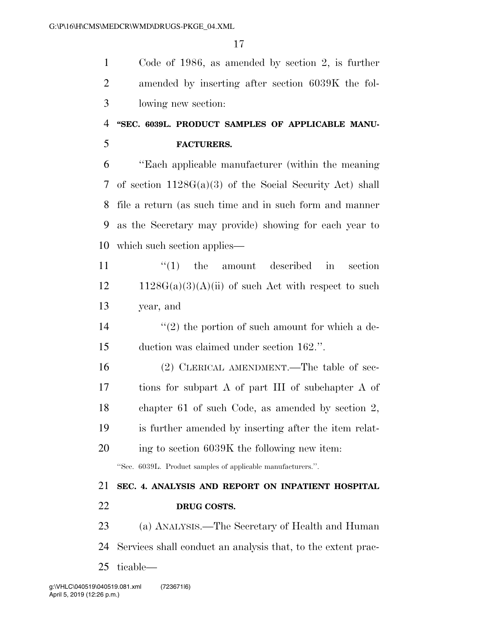Code of 1986, as amended by section 2, is further amended by inserting after section 6039K the fol-lowing new section:

### **''SEC. 6039L. PRODUCT SAMPLES OF APPLICABLE MANU-FACTURERS.**

 ''Each applicable manufacturer (within the meaning of section 1128G(a)(3) of the Social Security Act) shall file a return (as such time and in such form and manner as the Secretary may provide) showing for each year to which such section applies—

11  $\frac{1}{1}$  the amount described in section  $12 \qquad 1128G(a)(3)(A)(ii)$  of such Act with respect to such year, and

14  $(2)$  the portion of such amount for which a de-duction was claimed under section 162.''.

 (2) CLERICAL AMENDMENT.—The table of sec- tions for subpart A of part III of subchapter A of chapter 61 of such Code, as amended by section 2, is further amended by inserting after the item relat-ing to section 6039K the following new item:

''Sec. 6039L. Product samples of applicable manufacturers.''.

## **SEC. 4. ANALYSIS AND REPORT ON INPATIENT HOSPITAL**

**DRUG COSTS.** 

 (a) ANALYSIS.—The Secretary of Health and Human Services shall conduct an analysis that, to the extent prac-ticable—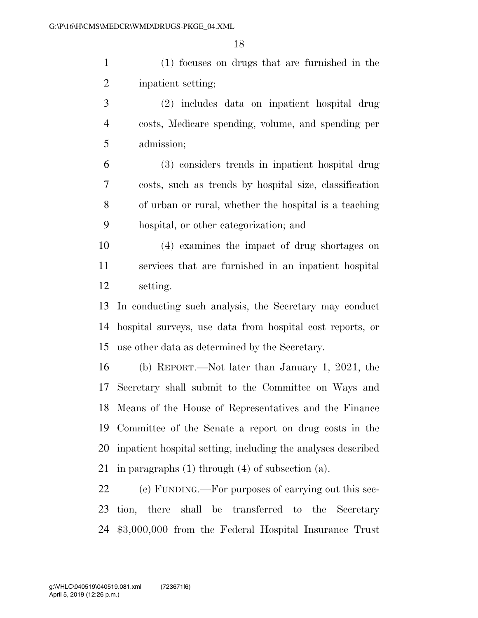(1) focuses on drugs that are furnished in the inpatient setting;

 (2) includes data on inpatient hospital drug costs, Medicare spending, volume, and spending per admission;

 (3) considers trends in inpatient hospital drug costs, such as trends by hospital size, classification of urban or rural, whether the hospital is a teaching hospital, or other categorization; and

 (4) examines the impact of drug shortages on services that are furnished in an inpatient hospital setting.

 In conducting such analysis, the Secretary may conduct hospital surveys, use data from hospital cost reports, or use other data as determined by the Secretary.

 (b) REPORT.—Not later than January 1, 2021, the Secretary shall submit to the Committee on Ways and Means of the House of Representatives and the Finance Committee of the Senate a report on drug costs in the inpatient hospital setting, including the analyses described in paragraphs (1) through (4) of subsection (a).

 (c) FUNDING.—For purposes of carrying out this sec- tion, there shall be transferred to the Secretary \$3,000,000 from the Federal Hospital Insurance Trust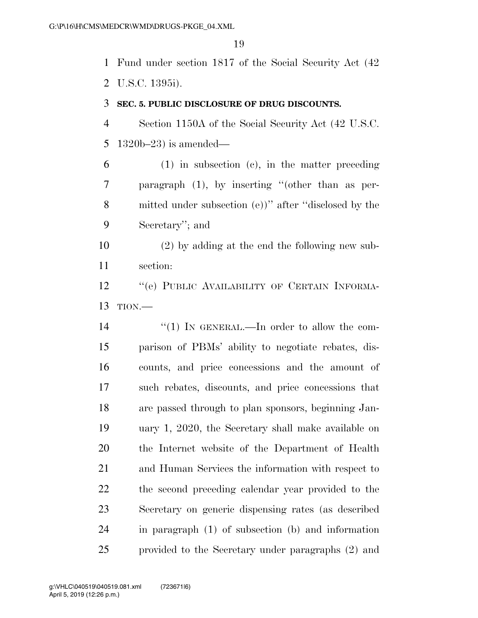Fund under section 1817 of the Social Security Act (42 U.S.C. 1395i).

#### **SEC. 5. PUBLIC DISCLOSURE OF DRUG DISCOUNTS.**

 Section 1150A of the Social Security Act (42 U.S.C. 1320b–23) is amended—

 (1) in subsection (c), in the matter preceding paragraph (1), by inserting ''(other than as per- mitted under subsection (e))'' after ''disclosed by the Secretary''; and

 (2) by adding at the end the following new sub-section:

12 "(e) PUBLIC AVAILABILITY OF CERTAIN INFORMA-TION.—

 $\frac{1}{2}$  (1) In GENERAL.—In order to allow the com- parison of PBMs' ability to negotiate rebates, dis- counts, and price concessions and the amount of such rebates, discounts, and price concessions that are passed through to plan sponsors, beginning Jan- uary 1, 2020, the Secretary shall make available on the Internet website of the Department of Health and Human Services the information with respect to the second preceding calendar year provided to the Secretary on generic dispensing rates (as described in paragraph (1) of subsection (b) and information provided to the Secretary under paragraphs (2) and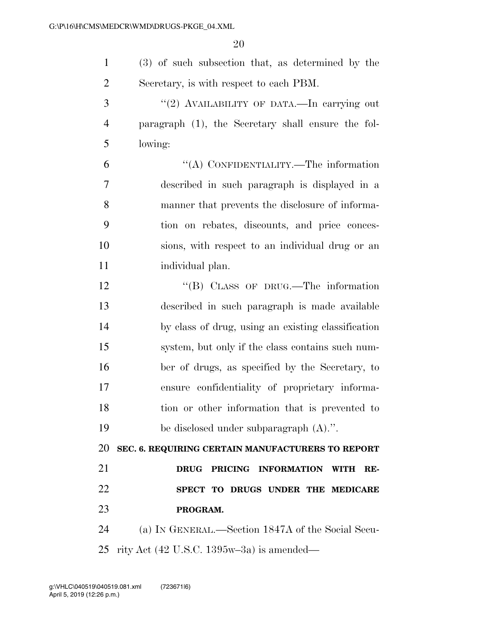| $\mathbf{1}$   | (3) of such subsection that, as determined by the                    |
|----------------|----------------------------------------------------------------------|
| $\overline{2}$ | Secretary, is with respect to each PBM.                              |
| 3              | "(2) AVAILABILITY OF DATA.—In carrying out                           |
| $\overline{4}$ | paragraph (1), the Secretary shall ensure the fol-                   |
| 5              | lowing:                                                              |
| 6              | "(A) CONFIDENTIALITY.—The information                                |
| 7              | described in such paragraph is displayed in a                        |
| 8              | manner that prevents the disclosure of informa-                      |
| 9              | tion on rebates, discounts, and price conces-                        |
| 10             | sions, with respect to an individual drug or an                      |
| 11             | individual plan.                                                     |
| 12             | "(B) CLASS OF DRUG.—The information                                  |
| 13             | described in such paragraph is made available                        |
| 14             | by class of drug, using an existing classification                   |
| 15             | system, but only if the class contains such num-                     |
| 16             | ber of drugs, as specified by the Secretary, to                      |
| 17             | ensure confidentiality of proprietary informa-                       |
| 18             | tion or other information that is prevented to                       |
| 19             | be disclosed under subparagraph (A).".                               |
| 20             | SEC. 6. REQUIRING CERTAIN MANUFACTURERS TO REPORT                    |
| 21             | PRICING INFORMATION<br><b>DRUG</b><br>RE-<br><b>WITH</b>             |
| 22             | SPECT TO DRUGS UNDER THE MEDICARE                                    |
| 23             | PROGRAM.                                                             |
| 24             | (a) IN GENERAL.—Section 1847A of the Social Secu-                    |
| 25             | rity Act $(42 \text{ U.S.C. } 1395\text{w} - 3\text{a})$ is amended— |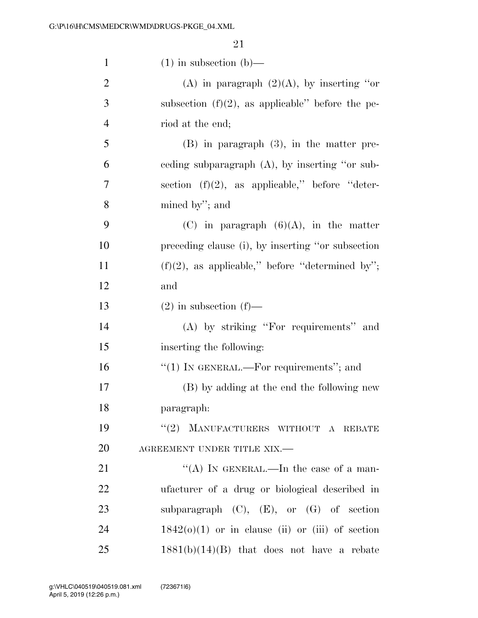| $\mathbf{1}$   | $(1)$ in subsection $(b)$ —                         |
|----------------|-----------------------------------------------------|
| $\overline{2}$ | (A) in paragraph $(2)(A)$ , by inserting "or        |
| 3              | subsection $(f)(2)$ , as applicable" before the pe- |
| $\overline{4}$ | riod at the end;                                    |
| 5              | $(B)$ in paragraph $(3)$ , in the matter pre-       |
| 6              | eeding subparagraph (A), by inserting "or sub-      |
| 7              | section $(f)(2)$ , as applicable," before "deter-   |
| 8              | mined by"; and                                      |
| 9              | $(C)$ in paragraph $(6)(A)$ , in the matter         |
| 10             | preceding clause (i), by inserting "or subsection   |
| 11             | $(f)(2)$ , as applicable," before "determined by";  |
| 12             | and                                                 |
| 13             | $(2)$ in subsection $(f)$ —                         |
| 14             | (A) by striking "For requirements" and              |
| 15             | inserting the following:                            |
| 16             | " $(1)$ In GENERAL.—For requirements"; and          |
| 17             | (B) by adding at the end the following new          |
| 18             | paragraph:                                          |
| 19             | "(2) MANUFACTURERS WITHOUT A REBATE                 |
| 20             | AGREEMENT UNDER TITLE XIX.-                         |
| 21             | "(A) IN GENERAL.—In the case of a man-              |
| 22             | ufacturer of a drug or biological described in      |
| 23             | subparagraph $(C)$ , $(E)$ , or $(G)$ of section    |
| 24             | $1842(0)(1)$ or in clause (ii) or (iii) of section  |
| 25             | $1881(b)(14)(B)$ that does not have a rebate        |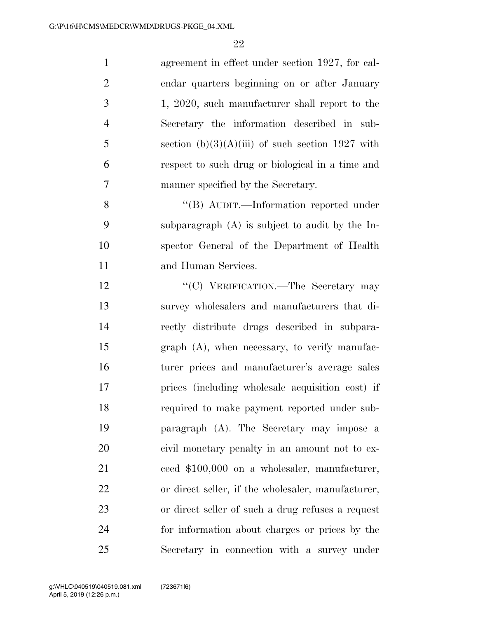| $\mathbf{1}$   | agreement in effect under section 1927, for cal-   |
|----------------|----------------------------------------------------|
| $\overline{2}$ | endar quarters beginning on or after January       |
| 3              | 1, 2020, such manufacturer shall report to the     |
| $\overline{4}$ | Secretary the information described in sub-        |
| 5              | section $(b)(3)(A)(iii)$ of such section 1927 with |
| 6              | respect to such drug or biological in a time and   |
| $\overline{7}$ | manner specified by the Secretary.                 |
| 8              | "(B) AUDIT.—Information reported under             |
| 9              | subparagraph (A) is subject to audit by the In-    |
| 10             | spector General of the Department of Health        |
| 11             | and Human Services.                                |
| 12             | "(C) VERIFICATION.—The Secretary may               |
| 13             | survey wholesalers and manufacturers that di-      |
| 14             | rectly distribute drugs described in subpara-      |
| 15             | $graph(A)$ , when necessary, to verify manufac-    |
| 16             | turer prices and manufacturer's average sales      |
| 17             | prices (including wholesale acquisition cost) if   |
| 18             | required to make payment reported under sub-       |
| 19             | paragraph (A). The Secretary may impose a          |
| 20             | civil monetary penalty in an amount not to ex-     |
| 21             | ceed \$100,000 on a wholesaler, manufacturer,      |
| 22             | or direct seller, if the wholesaler, manufacturer, |
| 23             | or direct seller of such a drug refuses a request  |
| 24             | for information about charges or prices by the     |
| 25             | Secretary in connection with a survey under        |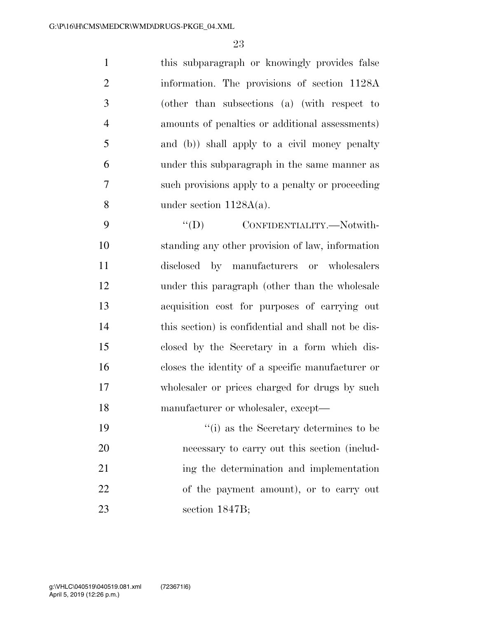this subparagraph or knowingly provides false information. The provisions of section 1128A (other than subsections (a) (with respect to amounts of penalties or additional assessments) and (b)) shall apply to a civil money penalty under this subparagraph in the same manner as such provisions apply to a penalty or proceeding under section 1128A(a).

 $\hspace{1cm}$  "(D) CONFIDENTIALITY.—Notwith- standing any other provision of law, information disclosed by manufacturers or wholesalers under this paragraph (other than the wholesale acquisition cost for purposes of carrying out this section) is confidential and shall not be dis- closed by the Secretary in a form which dis- closes the identity of a specific manufacturer or wholesaler or prices charged for drugs by such manufacturer or wholesaler, except—

 ''(i) as the Secretary determines to be necessary to carry out this section (includ-21 ing the determination and implementation of the payment amount), or to carry out section 1847B;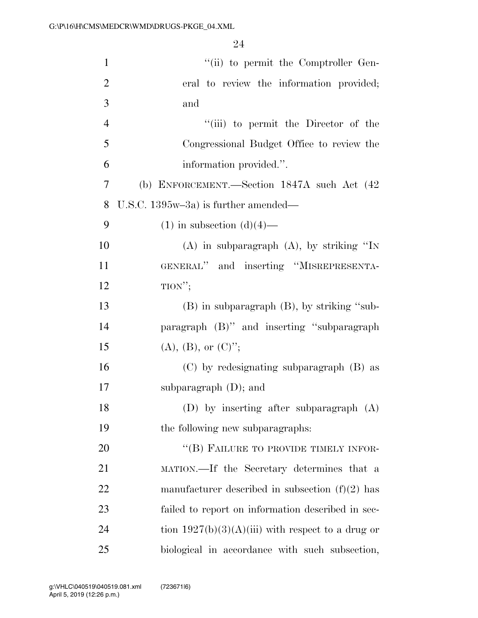| $\mathbf{1}$   | "(ii) to permit the Comptroller Gen-                |
|----------------|-----------------------------------------------------|
| $\overline{2}$ | eral to review the information provided;            |
| 3              | and                                                 |
| $\overline{4}$ | "(iii) to permit the Director of the                |
| 5              | Congressional Budget Office to review the           |
| 6              | information provided.".                             |
| 7              | (b) ENFORCEMENT.-Section 1847A such Act (42         |
| 8              | U.S.C. $1395w-3a$ ) is further amended—             |
| 9              | $(1)$ in subsection $(d)(4)$ —                      |
| 10             | $(A)$ in subparagraph $(A)$ , by striking "IN       |
| 11             | GENERAL" and inserting "MISREPRESENTA-              |
| 12             | TION";                                              |
| 13             | $(B)$ in subparagraph $(B)$ , by striking "sub-     |
| 14             | paragraph (B)" and inserting "subparagraph          |
| 15             | $(A), (B), or (C)$ ";                               |
| 16             | (C) by redesignating subparagraph (B) as            |
| 17             | subparagraph $(D)$ ; and                            |
| 18             | (D) by inserting after subparagraph $(A)$           |
| 19             | the following new subparagraphs:                    |
| 20             | "(B) FAILURE TO PROVIDE TIMELY INFOR-               |
| 21             | MATION.—If the Secretary determines that a          |
| 22             | manufacturer described in subsection $(f)(2)$ has   |
| 23             | failed to report on information described in sec-   |
| 24             | tion $1927(b)(3)(A)(iii)$ with respect to a drug or |
| 25             | biological in accordance with such subsection,      |